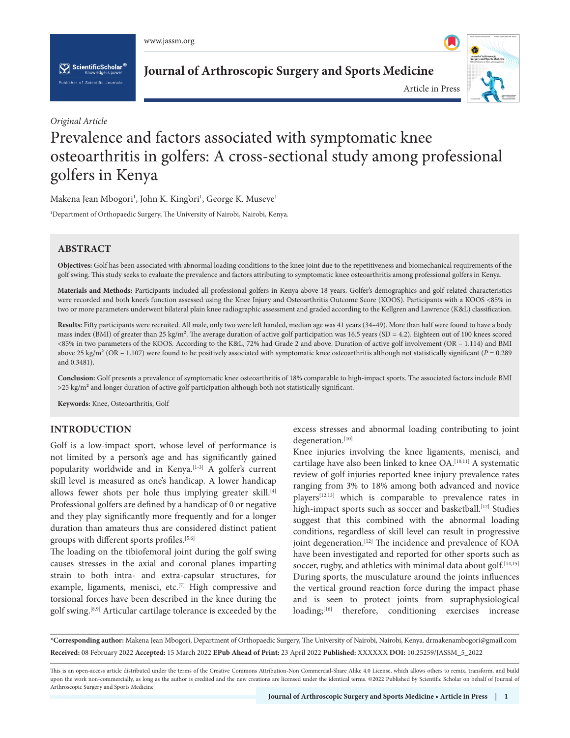www.jassm.org

 $\left[\sum_{k}\right]$  Scientific Scholar  $^{\mathfrak{q}}$ 

**Journal of Arthroscopic Surgery and Sports Medicine**



*Original Article*

# Prevalence and factors associated with symptomatic knee osteoarthritis in golfers: A cross-sectional study among professional golfers in Kenya

Makena Jean Mbogori<sup>1</sup>, John K. King'ori<sup>1</sup>, George K. Museve<sup>1</sup>

1 Department of Orthopaedic Surgery, The University of Nairobi, Nairobi, Kenya.

# **ABSTRACT**

**Objectives:** Golf has been associated with abnormal loading conditions to the knee joint due to the repetitiveness and biomechanical requirements of the golf swing. This study seeks to evaluate the prevalence and factors attributing to symptomatic knee osteoarthritis among professional golfers in Kenya.

**Materials and Methods:** Participants included all professional golfers in Kenya above 18 years. Golfer's demographics and golf-related characteristics were recorded and both knee's function assessed using the Knee Injury and Osteoarthritis Outcome Score (KOOS). Participants with a KOOS <85% in two or more parameters underwent bilateral plain knee radiographic assessment and graded according to the Kellgren and Lawrence (K&L) classification.

**Results:** Fifty participants were recruited. All male, only two were left handed, median age was 41 years (34–49). More than half were found to have a body mass index (BMI) of greater than 25 kg/m². The average duration of active golf participation was 16.5 years (SD = 4.2). Eighteen out of 100 knees scored <85% in two parameters of the KOOS. According to the K&L, 72% had Grade 2 and above. Duration of active golf involvement (OR – 1.114) and BMI above 25 kg/m² (OR – 1.107) were found to be positively associated with symptomatic knee osteoarthritis although not statistically significant (*P* = 0.289 and 0.3481).

**Conclusion:** Golf presents a prevalence of symptomatic knee osteoarthritis of 18% comparable to high-impact sports. The associated factors include BMI >25 kg/m² and longer duration of active golf participation although both not statistically significant.

**Keywords:** Knee, Osteoarthritis, Golf

# **INTRODUCTION**

Golf is a low-impact sport, whose level of performance is not limited by a person's age and has significantly gained popularity worldwide and in Kenya.<sup>[1-3]</sup> A golfer's current skill level is measured as one's handicap. A lower handicap allows fewer shots per hole thus implying greater skill.<sup>[4]</sup> Professional golfers are defined by a handicap of 0 or negative and they play significantly more frequently and for a longer duration than amateurs thus are considered distinct patient groups with different sports profiles.<sup>[5,6]</sup>

The loading on the tibiofemoral joint during the golf swing causes stresses in the axial and coronal planes imparting strain to both intra- and extra-capsular structures, for example, ligaments, menisci, etc.<sup>[7]</sup> High compressive and torsional forces have been described in the knee during the golf swing.[8,9] Articular cartilage tolerance is exceeded by the

excess stresses and abnormal loading contributing to joint degeneration.[10]

Knee injuries involving the knee ligaments, menisci, and cartilage have also been linked to knee OA.[10,11] A systematic review of golf injuries reported knee injury prevalence rates ranging from 3% to 18% among both advanced and novice players[12,13] which is comparable to prevalence rates in high-impact sports such as soccer and basketball.<sup>[12]</sup> Studies suggest that this combined with the abnormal loading conditions, regardless of skill level can result in progressive joint degeneration.<sup>[12]</sup> The incidence and prevalence of KOA have been investigated and reported for other sports such as soccer, rugby, and athletics with minimal data about golf.<sup>[14,15]</sup> During sports, the musculature around the joints influences the vertical ground reaction force during the impact phase and is seen to protect joints from supraphysiological loading;<sup>[16]</sup> therefore, conditioning exercises increase

**\*Corresponding author:** Makena Jean Mbogori, Department of Orthopaedic Surgery, The University of Nairobi, Nairobi, Kenya. drmakenambogori@gmail.com **Received:** 08 February 2022 **Accepted:** 15 March 2022 **EPub Ahead of Print:** 23 April 2022 **Published:** XXXXXX **DOI:** [10.25259/JASSM\\_5\\_2022](https://dx.doi.org/10.25259/JASSM_5_2022)

This is an open-access article distributed under the terms of the Creative Commons Attribution-Non Commercial-Share Alike 4.0 License, which allows others to remix, transform, and build upon the work non-commercially, as long as the author is credited and the new creations are licensed under the identical terms. ©2022 Published by Scientific Scholar on behalf of Journal of Arthroscopic Surgery and Sports Medicine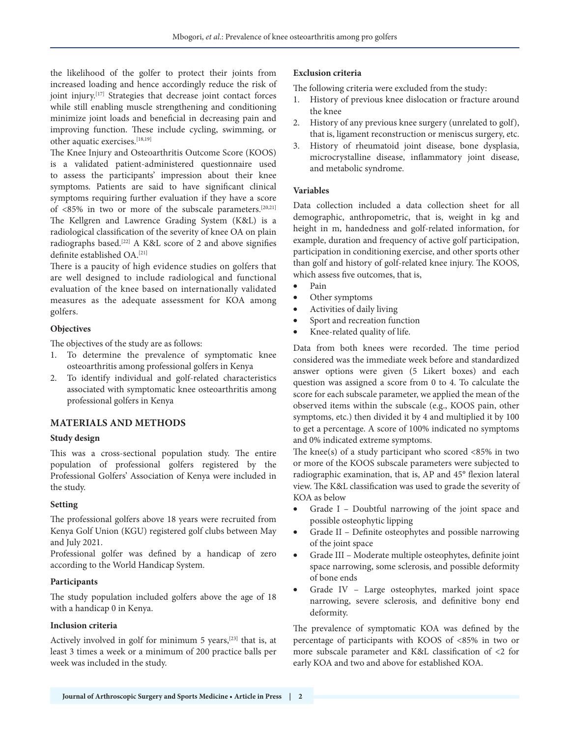the likelihood of the golfer to protect their joints from increased loading and hence accordingly reduce the risk of joint injury.[17] Strategies that decrease joint contact forces while still enabling muscle strengthening and conditioning minimize joint loads and beneficial in decreasing pain and improving function. These include cycling, swimming, or other aquatic exercises.<sup>[18,19]</sup>

The Knee Injury and Osteoarthritis Outcome Score (KOOS) is a validated patient-administered questionnaire used to assess the participants' impression about their knee symptoms. Patients are said to have significant clinical symptoms requiring further evaluation if they have a score of <85% in two or more of the subscale parameters.[20,21] The Kellgren and Lawrence Grading System (K&L) is a radiological classification of the severity of knee OA on plain radiographs based.[22] A K&L score of 2 and above signifies definite established OA.<sup>[21]</sup>

There is a paucity of high evidence studies on golfers that are well designed to include radiological and functional evaluation of the knee based on internationally validated measures as the adequate assessment for KOA among golfers.

## **Objectives**

The objectives of the study are as follows:

- 1. To determine the prevalence of symptomatic knee osteoarthritis among professional golfers in Kenya
- 2. To identify individual and golf-related characteristics associated with symptomatic knee osteoarthritis among professional golfers in Kenya

## **MATERIALS AND METHODS**

#### **Study design**

This was a cross-sectional population study. The entire population of professional golfers registered by the Professional Golfers' Association of Kenya were included in the study.

#### **Setting**

The professional golfers above 18 years were recruited from Kenya Golf Union (KGU) registered golf clubs between May and July 2021.

Professional golfer was defined by a handicap of zero according to the World Handicap System.

#### **Participants**

The study population included golfers above the age of 18 with a handicap 0 in Kenya.

## **Inclusion criteria**

Actively involved in golf for minimum 5 years,<sup>[23]</sup> that is, at least 3 times a week or a minimum of 200 practice balls per week was included in the study.

#### **Exclusion criteria**

The following criteria were excluded from the study:

- 1. History of previous knee dislocation or fracture around the knee
- 2. History of any previous knee surgery (unrelated to golf), that is, ligament reconstruction or meniscus surgery, etc.
- 3. History of rheumatoid joint disease, bone dysplasia, microcrystalline disease, inflammatory joint disease, and metabolic syndrome.

## **Variables**

Data collection included a data collection sheet for all demographic, anthropometric, that is, weight in kg and height in m, handedness and golf-related information, for example, duration and frequency of active golf participation, participation in conditioning exercise, and other sports other than golf and history of golf-related knee injury. The KOOS, which assess five outcomes, that is,

- Pain
- Other symptoms
- Activities of daily living
- Sport and recreation function
- Knee-related quality of life.

Data from both knees were recorded. The time period considered was the immediate week before and standardized answer options were given (5 Likert boxes) and each question was assigned a score from 0 to 4. To calculate the score for each subscale parameter, we applied the mean of the observed items within the subscale (e.g., KOOS pain, other symptoms, etc.) then divided it by 4 and multiplied it by 100 to get a percentage. A score of 100% indicated no symptoms and 0% indicated extreme symptoms.

The knee(s) of a study participant who scored  $<85\%$  in two or more of the KOOS subscale parameters were subjected to radiographic examination, that is, AP and 45° flexion lateral view. The K&L classification was used to grade the severity of KOA as below

- Grade I Doubtful narrowing of the joint space and possible osteophytic lipping
- Grade II Definite osteophytes and possible narrowing of the joint space
- Grade III Moderate multiple osteophytes, definite joint space narrowing, some sclerosis, and possible deformity of bone ends
- Grade IV Large osteophytes, marked joint space narrowing, severe sclerosis, and definitive bony end deformity.

The prevalence of symptomatic KOA was defined by the percentage of participants with KOOS of <85% in two or more subscale parameter and K&L classification of <2 for early KOA and two and above for established KOA.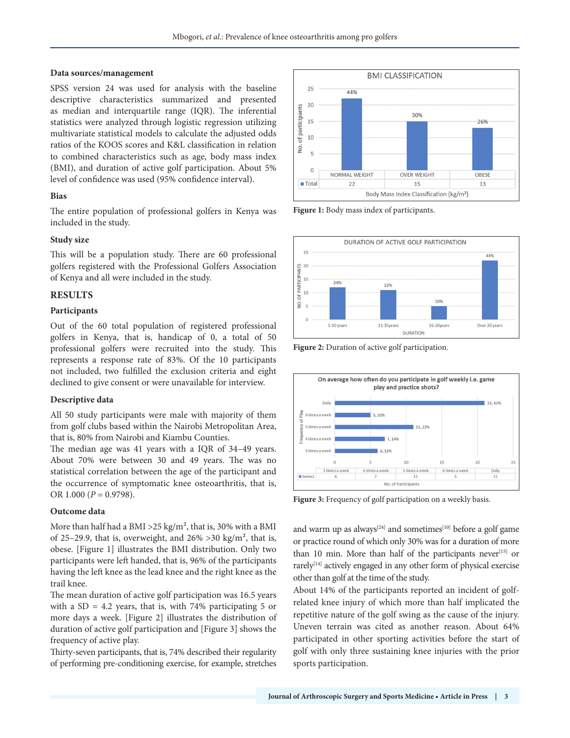#### **Data sources/management**

SPSS version 24 was used for analysis with the baseline descriptive characteristics summarized and presented as median and interquartile range (IQR). The inferential statistics were analyzed through logistic regression utilizing multivariate statistical models to calculate the adjusted odds ratios of the KOOS scores and K&L classification in relation to combined characteristics such as age, body mass index (BMI), and duration of active golf participation. About 5% level of confidence was used (95% confidence interval).

## **Bias**

The entire population of professional golfers in Kenya was included in the study.

## **Study size**

This will be a population study. There are 60 professional golfers registered with the Professional Golfers Association of Kenya and all were included in the study.

## **RESULTS**

## **Participants**

Out of the 60 total population of registered professional golfers in Kenya, that is, handicap of 0, a total of 50 professional golfers were recruited into the study. This represents a response rate of 83%. Of the 10 participants not included, two fulfilled the exclusion criteria and eight declined to give consent or were unavailable for interview.

## **Descriptive data**

All 50 study participants were male with majority of them from golf clubs based within the Nairobi Metropolitan Area, that is, 80% from Nairobi and Kiambu Counties.

The median age was 41 years with a IQR of 34–49 years. About 70% were between 30 and 49 years. The was no statistical correlation between the age of the participant and the occurrence of symptomatic knee osteoarthritis, that is, OR  $1.000$  ( $P = 0.9798$ ).

## **Outcome data**

More than half had a BMI >  $25 \text{ kg/m}^2$ , that is, 30% with a BMI of 25–29.9, that is, overweight, and  $26\% > 30$  kg/m<sup>2</sup>, that is, obese. [Figure 1] illustrates the BMI distribution. Only two participants were left handed, that is, 96% of the participants having the left knee as the lead knee and the right knee as the trail knee.

The mean duration of active golf participation was 16.5 years with a  $SD = 4.2$  years, that is, with 74% participating 5 or more days a week. [Figure 2] illustrates the distribution of duration of active golf participation and [Figure 3] shows the frequency of active play.

Thirty-seven participants, that is, 74% described their regularity of performing pre-conditioning exercise, for example, stretches



**Figure 1:** Body mass index of participants.



**Figure 2:** Duration of active golf participation.



**Figure 3:** Frequency of golf participation on a weekly basis.

and warm up as always<sup>[24]</sup> and sometimes<sup>[10]</sup> before a golf game or practice round of which only 30% was for a duration of more than 10 min. More than half of the participants never $[15]$  or rarely[14] actively engaged in any other form of physical exercise other than golf at the time of the study.

About 14% of the participants reported an incident of golfrelated knee injury of which more than half implicated the repetitive nature of the golf swing as the cause of the injury. Uneven terrain was cited as another reason. About 64% participated in other sporting activities before the start of golf with only three sustaining knee injuries with the prior sports participation.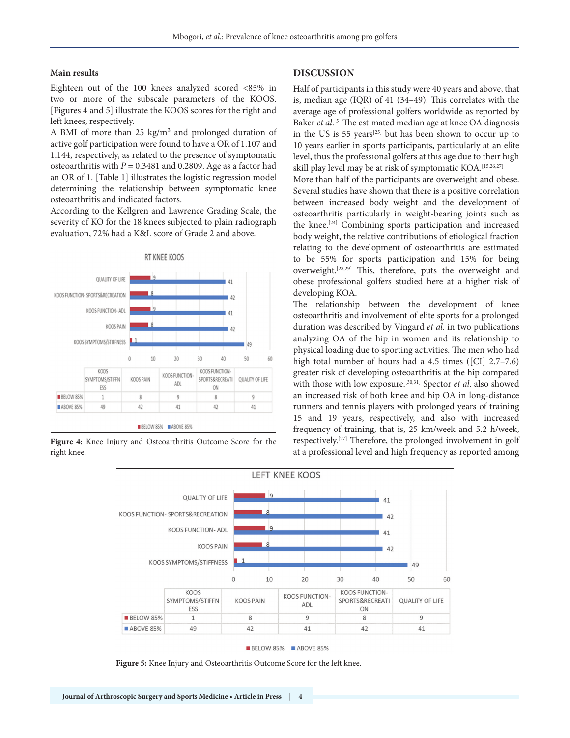#### **Main results**

Eighteen out of the 100 knees analyzed scored <85% in two or more of the subscale parameters of the KOOS. [Figures 4 and 5] illustrate the KOOS scores for the right and left knees, respectively.

A BMI of more than 25 kg/m² and prolonged duration of active golf participation were found to have a OR of 1.107 and 1.144, respectively, as related to the presence of symptomatic osteoarthritis with *P* = 0.3481 and 0.2809. Age as a factor had an OR of 1. [Table 1] illustrates the logistic regression model determining the relationship between symptomatic knee osteoarthritis and indicated factors.

According to the Kellgren and Lawrence Grading Scale, the severity of KO for the 18 knees subjected to plain radiograph evaluation, 72% had a K&L score of Grade 2 and above.



**Figure 4:** Knee Injury and Osteoarthritis Outcome Score for the right knee.

#### **DISCUSSION**

Half of participants in this study were 40 years and above, that is, median age (IQR) of 41 (34–49). This correlates with the average age of professional golfers worldwide as reported by Baker *et al*. [5] The estimated median age at knee OA diagnosis in the US is 55 years[25] but has been shown to occur up to 10 years earlier in sports participants, particularly at an elite level, thus the professional golfers at this age due to their high skill play level may be at risk of symptomatic KOA.<sup>[15,26,27]</sup>

More than half of the participants are overweight and obese. Several studies have shown that there is a positive correlation between increased body weight and the development of osteoarthritis particularly in weight-bearing joints such as the knee.[24] Combining sports participation and increased body weight, the relative contributions of etiological fraction relating to the development of osteoarthritis are estimated to be 55% for sports participation and 15% for being overweight.[28,29] This, therefore, puts the overweight and obese professional golfers studied here at a higher risk of developing KOA.

The relationship between the development of knee osteoarthritis and involvement of elite sports for a prolonged duration was described by Vingard *et al*. in two publications analyzing OA of the hip in women and its relationship to physical loading due to sporting activities. The men who had high total number of hours had a 4.5 times ([CI] 2.7–7.6) greater risk of developing osteoarthritis at the hip compared with those with low exposure.<sup>[30,31]</sup> Spector *et al.* also showed an increased risk of both knee and hip OA in long-distance runners and tennis players with prolonged years of training 15 and 19 years, respectively, and also with increased frequency of training, that is, 25 km/week and 5.2 h/week, respectively.[27] Therefore, the prolonged involvement in golf at a professional level and high frequency as reported among



**Figure 5:** Knee Injury and Osteoarthritis Outcome Score for the left knee.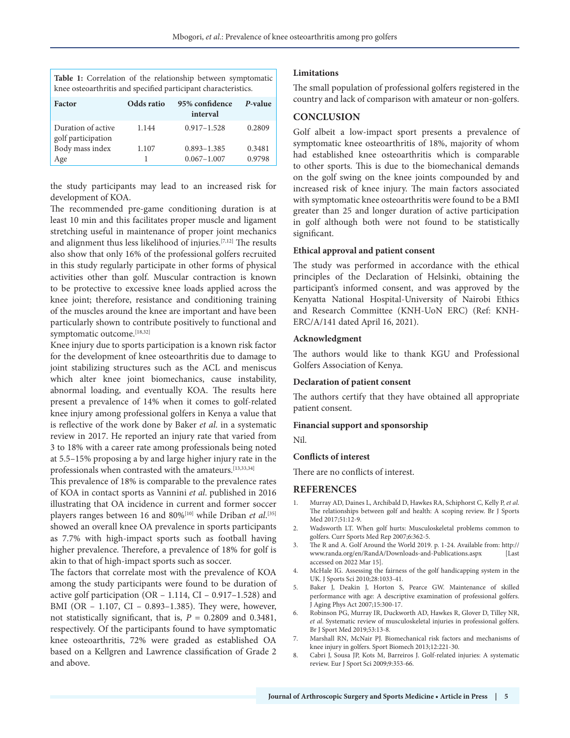|                                                                | Table 1: Correlation of the relationship between symptomatic |
|----------------------------------------------------------------|--------------------------------------------------------------|
| knee osteoarthritis and specified participant characteristics. |                                                              |

| <b>Factor</b>                            | Odds ratio | 95% confidence<br>interval | P-value |
|------------------------------------------|------------|----------------------------|---------|
| Duration of active<br>golf participation | 1.144      | $0.917 - 1.528$            | 0.2809  |
| Body mass index                          | 1.107      | $0.893 - 1.385$            | 0.3481  |
| Age                                      |            | $0.067 - 1.007$            | 0.9798  |

the study participants may lead to an increased risk for development of KOA.

The recommended pre-game conditioning duration is at least 10 min and this facilitates proper muscle and ligament stretching useful in maintenance of proper joint mechanics and alignment thus less likelihood of injuries.[7,12] The results also show that only 16% of the professional golfers recruited in this study regularly participate in other forms of physical activities other than golf. Muscular contraction is known to be protective to excessive knee loads applied across the knee joint; therefore, resistance and conditioning training of the muscles around the knee are important and have been particularly shown to contribute positively to functional and symptomatic outcome.[18,32]

Knee injury due to sports participation is a known risk factor for the development of knee osteoarthritis due to damage to joint stabilizing structures such as the ACL and meniscus which alter knee joint biomechanics, cause instability, abnormal loading, and eventually KOA. The results here present a prevalence of 14% when it comes to golf-related knee injury among professional golfers in Kenya a value that is reflective of the work done by Baker *et al*. in a systematic review in 2017. He reported an injury rate that varied from 3 to 18% with a career rate among professionals being noted at 5.5–15% proposing a by and large higher injury rate in the professionals when contrasted with the amateurs.<sup>[13,33,34]</sup>

This prevalence of 18% is comparable to the prevalence rates of KOA in contact sports as Vannini *et al*. published in 2016 illustrating that OA incidence in current and former soccer players ranges between 16 and 80%<sup>[10]</sup> while Driban *et al*.<sup>[35]</sup> showed an overall knee OA prevalence in sports participants as 7.7% with high-impact sports such as football having higher prevalence. Therefore, a prevalence of 18% for golf is akin to that of high-impact sports such as soccer.

The factors that correlate most with the prevalence of KOA among the study participants were found to be duration of active golf participation (OR – 1.114, CI – 0.917–1.528) and BMI (OR – 1.107, CI – 0.893–1.385). They were, however, not statistically significant, that is, *P* = 0.2809 and 0.3481, respectively. Of the participants found to have symptomatic knee osteoarthritis, 72% were graded as established OA based on a Kellgren and Lawrence classification of Grade 2 and above.

#### **Limitations**

The small population of professional golfers registered in the country and lack of comparison with amateur or non-golfers.

## **CONCLUSION**

Golf albeit a low-impact sport presents a prevalence of symptomatic knee osteoarthritis of 18%, majority of whom had established knee osteoarthritis which is comparable to other sports. This is due to the biomechanical demands on the golf swing on the knee joints compounded by and increased risk of knee injury. The main factors associated with symptomatic knee osteoarthritis were found to be a BMI greater than 25 and longer duration of active participation in golf although both were not found to be statistically significant.

#### **Ethical approval and patient consent**

The study was performed in accordance with the ethical principles of the Declaration of Helsinki, obtaining the participant's informed consent, and was approved by the Kenyatta National Hospital-University of Nairobi Ethics and Research Committee (KNH-UoN ERC) (Ref: KNH-ERC/A/141 dated April 16, 2021).

#### **Acknowledgment**

The authors would like to thank KGU and Professional Golfers Association of Kenya.

## **Declaration of patient consent**

The authors certify that they have obtained all appropriate patient consent.

#### **Financial support and sponsorship**

Nil.

#### **Conflicts of interest**

There are no conflicts of interest.

#### **REFERENCES**

- 1. Murray AD, Daines L, Archibald D, Hawkes RA, Schiphorst C, Kelly P, *et al*. The relationships between golf and health: A scoping review. Br J Sports Med 2017;51:12-9.
- 2. Wadsworth LT. When golf hurts: Musculoskeletal problems common to golfers. Curr Sports Med Rep 2007;6:362-5.
- 3. The R and A. Golf Around the World 2019. p. 1-24. Available from: http:// www.randa.org/en/RandA/Downloads-and-Publications.aspx [Last accessed on 2022 Mar 15].
- 4. McHale IG. Assessing the fairness of the golf handicapping system in the UK. J Sports Sci 2010;28:1033-41.
- 5. Baker J, Deakin J, Horton S, Pearce GW. Maintenance of skilled performance with age: A descriptive examination of professional golfers. J Aging Phys Act 2007;15:300-17.
- 6. Robinson PG, Murray IR, Duckworth AD, Hawkes R, Glover D, Tilley NR, *et al*. Systematic review of musculoskeletal injuries in professional golfers. Br J Sport Med 2019;53:13-8.
- 7. Marshall RN, McNair PJ. Biomechanical risk factors and mechanisms of knee injury in golfers. Sport Biomech 2013;12:221-30.
- 8. Cabri J, Sousa JP, Kots M, Barreiros J. Golf-related injuries: A systematic review. Eur J Sport Sci 2009;9:353-66.